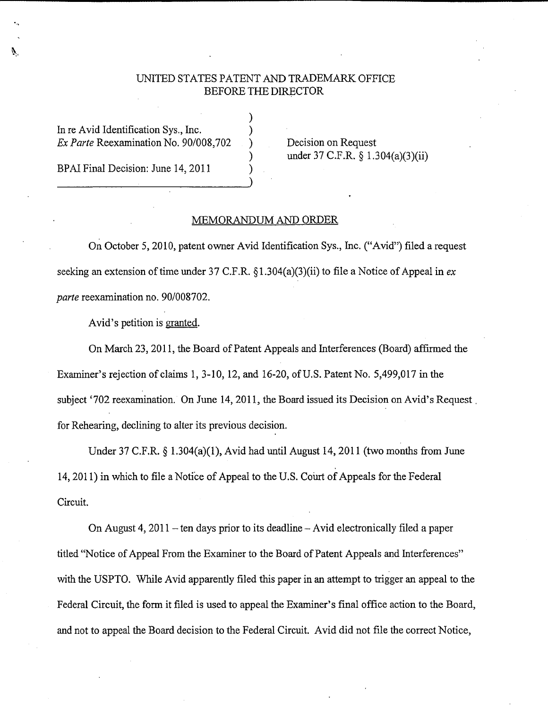## UNITED STATES PATENT AND TRADEMARK.OFFICE BEFORE THE DIRECTOR

)

In re Avid Identification Sys., Inc. *Ex Parte* Reexamination No. 90/008,702 ) Decision on Request

BPAI Final Decision: June 14, 2011

) under 37 C.F.R. § 1.304(a)(3)(ii)

## MEMORANDUM AND ORDER

On October 5, 2010, patent owner Avid Identification Sys., Inc. ("Avid") filed a request seeking an extension of time under 37 C.F.R. § l.304(a)(3)(ii) to file a Notice of Appeal in *ex parte* reexamination no. 90/008702.

Avid's petition is granted.

On March 23, 2011, the Board of Patent Appeals and Interferences (Board) affirmed the Examiner's rejection of claims 1, 3-10, 12, and 16-20, of U.S. Patent No. 5,499,017 in the subject '702 reexamination. On June 14, 2011, the Board issued its Decision on Avid's Request. for Rehearing, declining to alter its previous decision.

Under 37 C.F.R. § 1.304(a)(1), Avid had until August 14, 2011 (two months from June 14, 2011) in which to file a Notice of Appeal to the U.S. Court of Appeals for the Federal Circuit.

On August 4,  $2011$  – ten days prior to its deadline – Avid electronically filed a paper titled ''Notice of Appeal From the Examiner to the Board of Patent Appeals and Interferences" with the USPTO. While Avid apparently filed this paper in an attempt to trigger an appeal to the Federal Circuit, the form it filed is used to appeal the Examiner's final office action to the Board, and not to appeal the Board decision to the Federal Circuit. Avid did not file the correct Notice,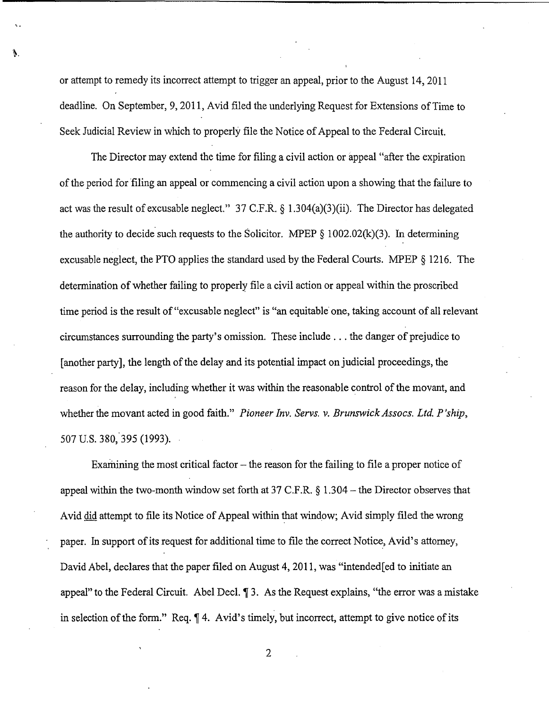or attempt to remedy its incorrect attempt to trigger an appeal, prior to the August 14, 2011 deadline. On September, 9, 2011, Avid filed the underlying Request for Extensions of Time to Seek Judicial Review in which to properly file the Notice of Appeal to the Federal Circuit.

V.

The Director may extend the time for filing a civil action or appeal "after the expiration of the period for filing an appeal or commencing a civil action upon a showing that the failure to act was the result of excusable neglect." 37 C.F.R.  $\S$  1.304(a)(3)(ii). The Director has delegated the authority to decide such requests to the Solicitor. MPEP  $\S$  1002.02(k)(3). In determining excusable neglect, the PTO applies the standard used by the Federal Courts. MPEP  $\S$  1216. The determination of whether failing to properly file a civil action or appeal within the proscribed time period is the result of "excusable neglect" is "an equitable one, taking account of all relevant circumstances surrounding the party's omission. These include ... the danger of prejudice to [another party], the length of the delay and its potential impact on judicial proceedings, the reason for the delay, including whether it was within the reasonable control of the movant, and whether the movant acted in good faith." *Pioneer Inv. Servs. v. Brunswick Assocs. Ltd. P'ship*, 507 U.S. 380,'395 (1993).

Examining the most critical factor  $-$  the reason for the failing to file a proper notice of appeal within the two-month window set forth at 37 C.F.R.  $\S 1.304$  – the Director observes that Avid did attempt to file its Notice of Appeal within that window; Avid simply filed the wrong paper. In support of its request for additional time to file the correct Notice, Avid's attorney, David Abel, declares that the paper filed on August 4, 2011, was "intended [ed to initiate an appeal" to the Federal Circuit. Abel Decl.  $\mathbb{I}$  3. As the Request explains, "the error was a mistake in selection of the form." Req.  $\P$  4. Avid's timely, but incorrect, attempt to give notice of its

2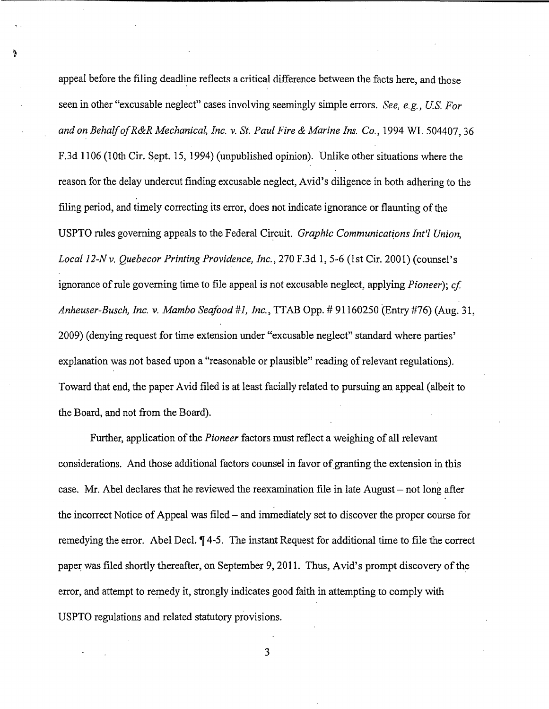appeal before the filing deadline reflects a critical difference between the facts here, and those seen in other "excusable neglect" cases involving seemingly simple errors. *See, e.g., US. For and on Behalf of R&R Mechanical, Inc.* v. *St. Paul Fire & Marine Ins. Co.,* 1994 WL 504407, 36 F.3d 1106 (10th Cir. Sept. 15, 1994) (unpublished opinion). Unlike other situations where the reason for the delay undercut finding excusable neglect, Avid's diligence in both adhering to the filing period, and timely correcting its error, does not indicate ignorance or flaunting of the USPTO rules governing appeals to the Federal Circuit. *Graphic Communications Int'l Union*, *Local 12-Nv. Quebecor Printing Providence, Inc.,* 270 F.3d 1, 5-6 (1st Cir. 2001) (counsel's ignorance of rule governing time to file appeal is not excusable neglect, applying *Pioneer); cf Anheuser-Busch, Inc. v. Mambo Seafood #1, Inc.,* TTAB Opp.# 91160250 (Entry #76) (Aug. 31, 2009) (denying request for time extension under "excusable neglect" standard where parties' explanation was not based upon a "reasonable or plausible" reading of relevant regulations). Toward that end, the paper Avid filed is at least facially related to pursuing an appeal (albeit to the Board, and not from the Board).

Further, application of the *Pioneer* factors must reflect a weighing of all relevant considerations. And those additional factors counsel in favor of granting the extension in this case. Mr. Abel declares that he reviewed the reexamination file in late August – not long after the incorrect Notice of Appeal was filed – and immediately set to discover the proper course for remedying the error. Abel Decl.  $\P$ 4-5. The instant Request for additional time to file the correct paper was filed shortly thereafter, on September 9, 2011. Thus, Avid's prompt discovery of the error, and attempt to remedy it, strongly indicates good faith in attempting to comply with USPTO regulations and related statutory provisions.

3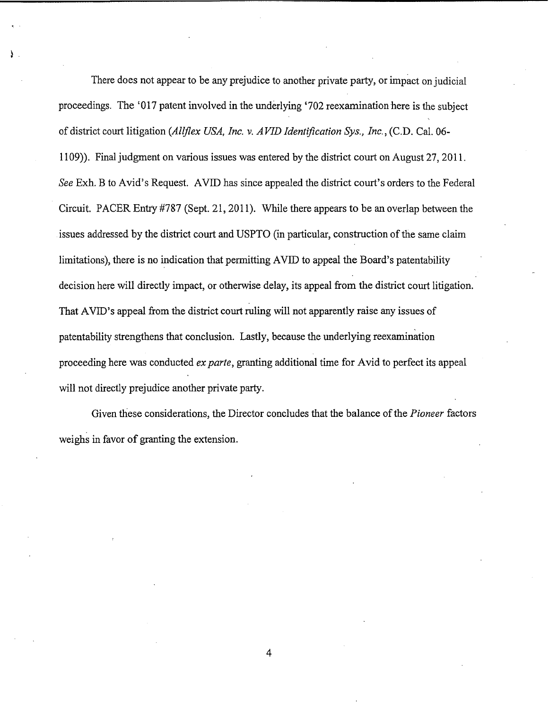There does not appear to be any prejudice to another private party, or impact on judicial proceedings. The '017 patent involved in the underlying '702 reexamination here is the subject of district court litigation *(Allflex USA, Inc. v. AVID Identification Sys., Inc.,* (C.D. Cal. 06- 1109) ). Final judgment on various issues was entered by the district court on August 27, 2011. *See* Exh. B to Avid's Request. AVID has since appealed the district court's orders to the Federal Circuit. PACER Entry #787 (Sept. 21, 2011). While there appears to be an overlap between the issues addressed by the district court and USPTO (in particular, construction of the same claim limitations), there is no indication that permitting AVID to appeal the Board's patentability decision here will directly impact, or otherwise delay, its appeal from the district court litigation. That AVID's appeal from the district court ruling will not apparently raise any issues of patentability strengthens that conclusion. Lastly, because the underlying reexamination proceeding here was conducted *ex parte,* granting additional time for Avid to perfect its appeal will not directly prejudice another private party.

Given these considerations, the Director concludes that the balance of the *Pioneer* factors weighs in favor of granting the extension.

4